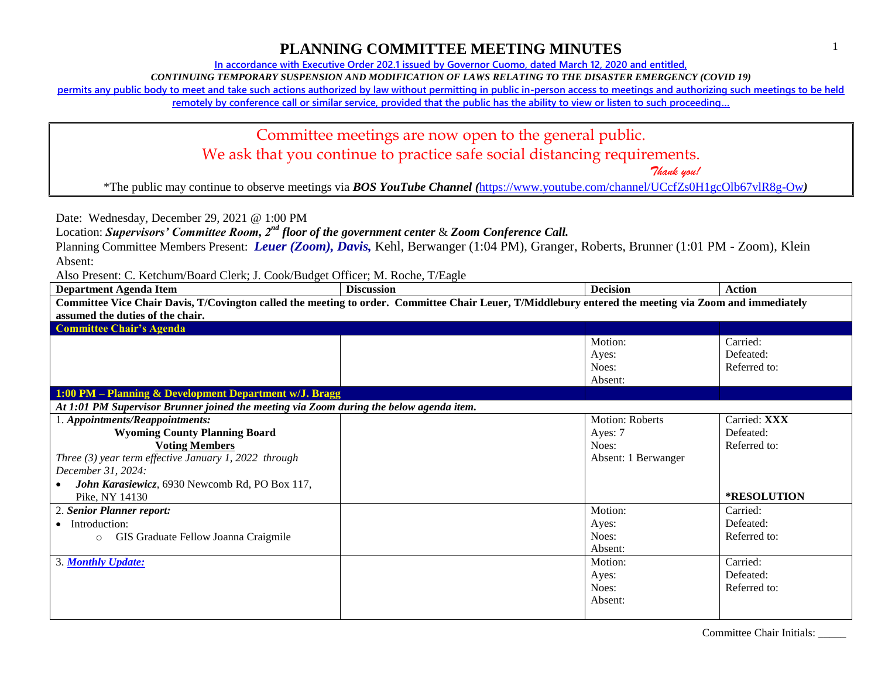**In accordance with Executive Order 202.1 issued by Governor Cuomo, dated March 12, 2020 and entitled,**

*CONTINUING TEMPORARY SUSPENSION AND MODIFICATION OF LAWS RELATING TO THE DISASTER EMERGENCY (COVID 19)*

**permits any public body to meet and take such actions authorized by law without permitting in public in-person access to meetings and authorizing such meetings to be held** 

**remotely by conference call or similar service, provided that the public has the ability to view or listen to such proceeding…**

Committee meetings are now open to the general public.

We ask that you continue to practice safe social distancing requirements.

 *Thank you!*

\*The public may continue to observe meetings via *BOS YouTube Channel (*<https://www.youtube.com/channel/UCcfZs0H1gcOlb67vlR8g-Ow>*)*

Date: Wednesday, December 29, 2021 @ 1:00 PM

Location: *Supervisors' Committee Room, 2nd floor of the government center* & *Zoom Conference Call.*

Planning Committee Members Present: *Leuer (Zoom), Davis,* Kehl, Berwanger (1:04 PM), Granger, Roberts, Brunner (1:01 PM - Zoom), Klein Absent:

| <b>Department Agenda Item</b>                                                                                                                         | <b>Discussion</b> | <b>Decision</b>     | <b>Action</b>      |
|-------------------------------------------------------------------------------------------------------------------------------------------------------|-------------------|---------------------|--------------------|
| Committee Vice Chair Davis, T/Covington called the meeting to order. Committee Chair Leuer, T/Middlebury entered the meeting via Zoom and immediately |                   |                     |                    |
| assumed the duties of the chair.                                                                                                                      |                   |                     |                    |
| <b>Committee Chair's Agenda</b>                                                                                                                       |                   |                     |                    |
|                                                                                                                                                       |                   | Motion:             | Carried:           |
|                                                                                                                                                       |                   | Ayes:               | Defeated:          |
|                                                                                                                                                       |                   | Noes:               | Referred to:       |
|                                                                                                                                                       |                   | Absent:             |                    |
| 1:00 PM - Planning & Development Department w/J. Bragg                                                                                                |                   |                     |                    |
| At 1:01 PM Supervisor Brunner joined the meeting via Zoom during the below agenda item.                                                               |                   |                     |                    |
| 1. Appointments/Reappointments:                                                                                                                       |                   | Motion: Roberts     | Carried: XXX       |
| <b>Wyoming County Planning Board</b>                                                                                                                  |                   | Ayes: 7             | Defeated:          |
| <b>Voting Members</b>                                                                                                                                 |                   | Noes:               | Referred to:       |
| Three $(3)$ year term effective January 1, 2022 through                                                                                               |                   | Absent: 1 Berwanger |                    |
| December 31, 2024:                                                                                                                                    |                   |                     |                    |
| John Karasiewicz, 6930 Newcomb Rd, PO Box 117,                                                                                                        |                   |                     |                    |
| Pike, NY 14130                                                                                                                                        |                   |                     | <b>*RESOLUTION</b> |
| 2. Senior Planner report:                                                                                                                             |                   | Motion:             | Carried:           |
| • Introduction:                                                                                                                                       |                   | Ayes:               | Defeated:          |
| GIS Graduate Fellow Joanna Craigmile<br>$\circ$                                                                                                       |                   | Noes:               | Referred to:       |
|                                                                                                                                                       |                   | Absent:             |                    |
| 3. Monthly Update:                                                                                                                                    |                   | Motion:             | Carried:           |
|                                                                                                                                                       |                   | Ayes:               | Defeated:          |
|                                                                                                                                                       |                   | Noes:               | Referred to:       |
|                                                                                                                                                       |                   | Absent:             |                    |
|                                                                                                                                                       |                   |                     |                    |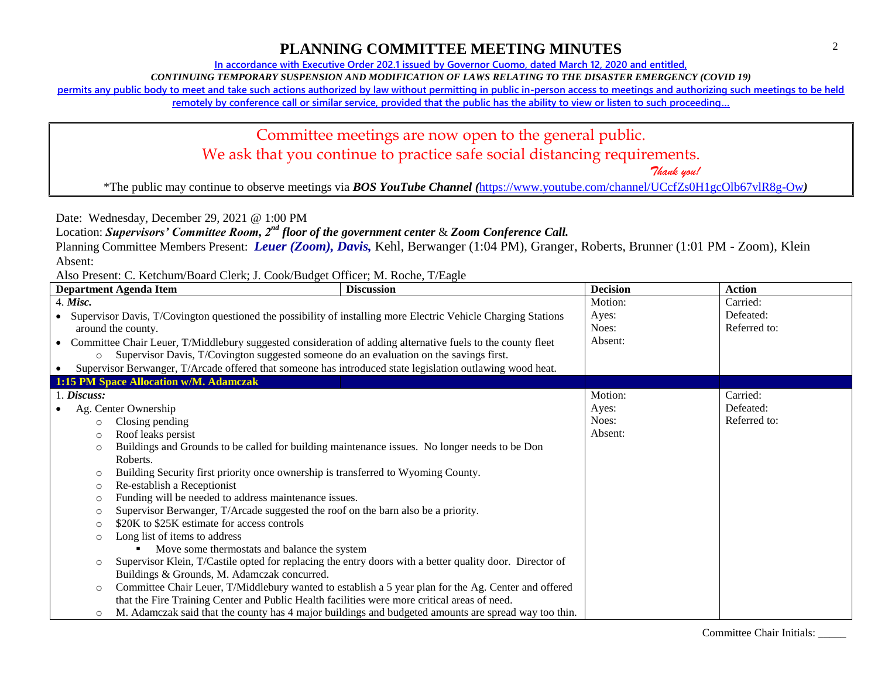### Committee Chair Initials: \_\_\_\_\_

**In accordance with Executive Order 202.1 issued by Governor Cuomo, dated March 12, 2020 and entitled,**

*CONTINUING TEMPORARY SUSPENSION AND MODIFICATION OF LAWS RELATING TO THE DISASTER EMERGENCY (COVID 19)*

**permits any public body to meet and take such actions authorized by law without permitting in public in-person access to meetings and authorizing such meetings to be held** 

**remotely by conference call or similar service, provided that the public has the ability to view or listen to such proceeding…**

### Committee meetings are now open to the general public. We ask that you continue to practice safe social distancing requirements.

 *Thank you!*

\*The public may continue to observe meetings via *BOS YouTube Channel (*<https://www.youtube.com/channel/UCcfZs0H1gcOlb67vlR8g-Ow>*)*

Date: Wednesday, December 29, 2021 @ 1:00 PM

Location: *Supervisors' Committee Room, 2nd floor of the government center* & *Zoom Conference Call.*

Planning Committee Members Present: *Leuer (Zoom), Davis,* Kehl, Berwanger (1:04 PM), Granger, Roberts, Brunner (1:01 PM - Zoom), Klein Absent:

|            |                                        | <b>Department Agenda Item</b>                                                                                  | <b>Discussion</b>                                                                                    | <b>Decision</b> | <b>Action</b> |
|------------|----------------------------------------|----------------------------------------------------------------------------------------------------------------|------------------------------------------------------------------------------------------------------|-----------------|---------------|
| $4.$ Misc. |                                        |                                                                                                                |                                                                                                      | Motion:         | Carried:      |
| $\bullet$  |                                        | Supervisor Davis, T/Covington questioned the possibility of installing more Electric Vehicle Charging Stations |                                                                                                      | Ayes:           | Defeated:     |
|            |                                        | around the county.                                                                                             |                                                                                                      | Noes:           | Referred to:  |
| $\bullet$  |                                        | Committee Chair Leuer, T/Middlebury suggested consideration of adding alternative fuels to the county fleet    |                                                                                                      | Absent:         |               |
|            | $\circ$                                | Supervisor Davis, T/Covington suggested someone do an evaluation on the savings first.                         |                                                                                                      |                 |               |
| $\bullet$  |                                        | Supervisor Berwanger, T/Arcade offered that someone has introduced state legislation outlawing wood heat.      |                                                                                                      |                 |               |
|            |                                        | 1:15 PM Space Allocation w/M. Adamczak                                                                         |                                                                                                      |                 |               |
|            | 1. Discuss:                            |                                                                                                                |                                                                                                      | Motion:         | Carried:      |
|            |                                        | Ag. Center Ownership                                                                                           |                                                                                                      | Ayes:           | Defeated:     |
|            | $\circ$                                | Closing pending                                                                                                |                                                                                                      | Noes:           | Referred to:  |
|            | $\circ$                                | Roof leaks persist                                                                                             |                                                                                                      | Absent:         |               |
|            | $\circ$                                | Buildings and Grounds to be called for building maintenance issues. No longer needs to be Don                  |                                                                                                      |                 |               |
|            |                                        | Roberts.                                                                                                       |                                                                                                      |                 |               |
|            | $\circ$                                | Building Security first priority once ownership is transferred to Wyoming County.                              |                                                                                                      |                 |               |
|            | Re-establish a Receptionist<br>$\circ$ |                                                                                                                |                                                                                                      |                 |               |
|            | $\circ$                                | Funding will be needed to address maintenance issues.                                                          |                                                                                                      |                 |               |
|            | $\circ$                                | Supervisor Berwanger, T/Arcade suggested the roof on the barn also be a priority.                              |                                                                                                      |                 |               |
|            | $\circ$                                | \$20K to \$25K estimate for access controls                                                                    |                                                                                                      |                 |               |
|            | $\circ$                                | Long list of items to address                                                                                  |                                                                                                      |                 |               |
|            |                                        | Move some thermostats and balance the system                                                                   |                                                                                                      |                 |               |
|            | $\circ$                                | Supervisor Klein, T/Castile opted for replacing the entry doors with a better quality door. Director of        |                                                                                                      |                 |               |
|            |                                        | Buildings & Grounds, M. Adamczak concurred.                                                                    |                                                                                                      |                 |               |
|            | $\circ$                                |                                                                                                                | Committee Chair Leuer, T/Middlebury wanted to establish a 5 year plan for the Ag. Center and offered |                 |               |
|            |                                        | that the Fire Training Center and Public Health facilities were more critical areas of need.                   |                                                                                                      |                 |               |
|            | $\circ$                                |                                                                                                                | M. Adamczak said that the county has 4 major buildings and budgeted amounts are spread way too thin. |                 |               |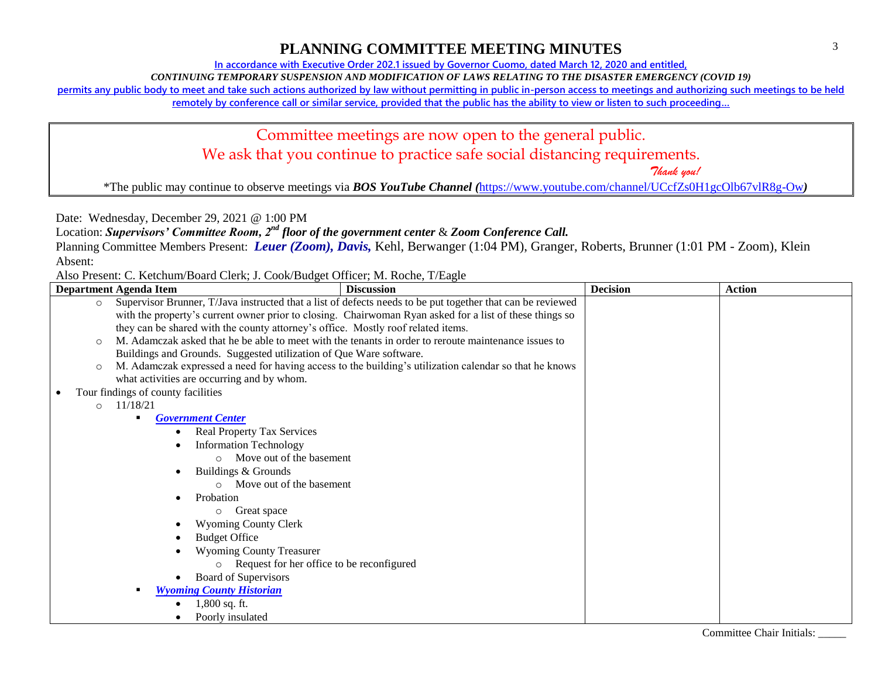#### Committee Chair Initials: \_\_\_\_\_

**In accordance with Executive Order 202.1 issued by Governor Cuomo, dated March 12, 2020 and entitled,**

*CONTINUING TEMPORARY SUSPENSION AND MODIFICATION OF LAWS RELATING TO THE DISASTER EMERGENCY (COVID 19)*

**permits any public body to meet and take such actions authorized by law without permitting in public in-person access to meetings and authorizing such meetings to be held** 

**remotely by conference call or similar service, provided that the public has the ability to view or listen to such proceeding…**

# Committee meetings are now open to the general public. We ask that you continue to practice safe social distancing requirements.

 *Thank you!*

\*The public may continue to observe meetings via *BOS YouTube Channel (*<https://www.youtube.com/channel/UCcfZs0H1gcOlb67vlR8g-Ow>*)*

Date: Wednesday, December 29, 2021 @ 1:00 PM

Location: *Supervisors' Committee Room, 2nd floor of the government center* & *Zoom Conference Call.*

Planning Committee Members Present: *Leuer (Zoom), Davis,* Kehl, Berwanger (1:04 PM), Granger, Roberts, Brunner (1:01 PM - Zoom), Klein Absent:

| Department Agenda Item             | Theo Frederic C. Heteriani Board Crem, 6: Coon Badget Officer, 1.1. Hoene, 1/ Bagie<br><b>Discussion</b>   | <b>Decision</b> | <b>Action</b> |
|------------------------------------|------------------------------------------------------------------------------------------------------------|-----------------|---------------|
| $\circ$                            | Supervisor Brunner, T/Java instructed that a list of defects needs to be put together that can be reviewed |                 |               |
|                                    | with the property's current owner prior to closing. Chairwoman Ryan asked for a list of these things so    |                 |               |
|                                    | they can be shared with the county attorney's office. Mostly roof related items.                           |                 |               |
| $\circ$                            | M. Adamczak asked that he be able to meet with the tenants in order to reroute maintenance issues to       |                 |               |
|                                    | Buildings and Grounds. Suggested utilization of Que Ware software.                                         |                 |               |
| $\circ$                            | M. Adamczak expressed a need for having access to the building's utilization calendar so that he knows     |                 |               |
|                                    | what activities are occurring and by whom.                                                                 |                 |               |
| Tour findings of county facilities |                                                                                                            |                 |               |
| 11/18/21<br>$\circ$                |                                                                                                            |                 |               |
| ٠                                  | <b>Government Center</b>                                                                                   |                 |               |
|                                    | <b>Real Property Tax Services</b>                                                                          |                 |               |
|                                    | <b>Information Technology</b>                                                                              |                 |               |
|                                    | Move out of the basement<br>$\Omega$                                                                       |                 |               |
|                                    | Buildings & Grounds                                                                                        |                 |               |
|                                    | Move out of the basement                                                                                   |                 |               |
|                                    | Probation                                                                                                  |                 |               |
|                                    | Great space<br>$\circ$                                                                                     |                 |               |
|                                    | <b>Wyoming County Clerk</b>                                                                                |                 |               |
|                                    | <b>Budget Office</b>                                                                                       |                 |               |
|                                    | <b>Wyoming County Treasurer</b>                                                                            |                 |               |
|                                    | Request for her office to be reconfigured<br>$\circ$                                                       |                 |               |
|                                    | Board of Supervisors                                                                                       |                 |               |
|                                    | <b>Wyoming County Historian</b>                                                                            |                 |               |
|                                    | 1,800 sq. ft.                                                                                              |                 |               |
|                                    | Poorly insulated                                                                                           |                 |               |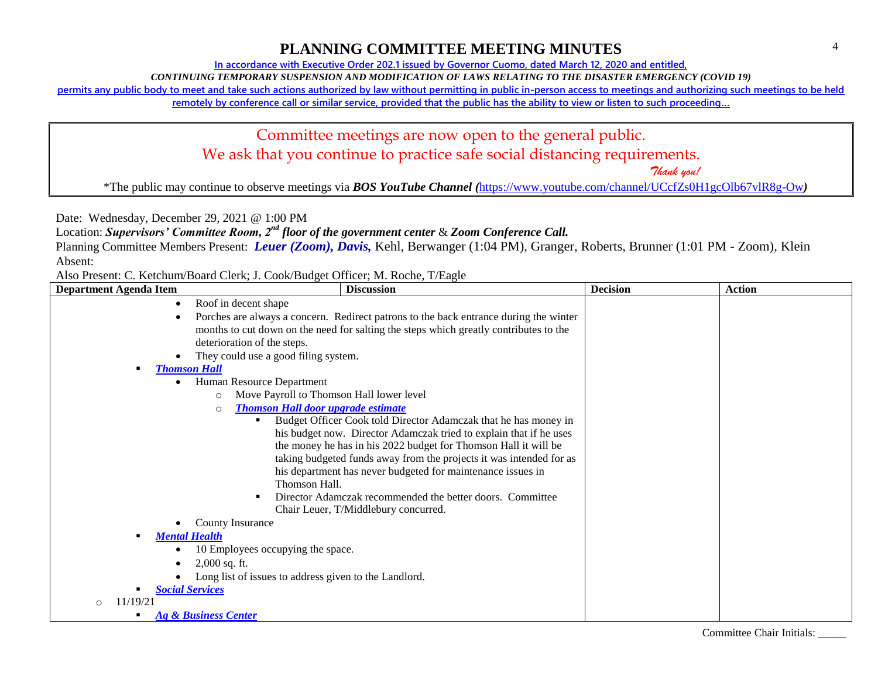**In accordance with Executive Order 202.1 issued by Governor Cuomo, dated March 12, 2020 and entitled,**

*CONTINUING TEMPORARY SUSPENSION AND MODIFICATION OF LAWS RELATING TO THE DISASTER EMERGENCY (COVID 19)*

**permits any public body to meet and take such actions authorized by law without permitting in public in-person access to meetings and authorizing such meetings to be held** 

**remotely by conference call or similar service, provided that the public has the ability to view or listen to such proceeding…**

# Committee meetings are now open to the general public. We ask that you continue to practice safe social distancing requirements.

 *Thank you!*

\*The public may continue to observe meetings via *BOS YouTube Channel (*<https://www.youtube.com/channel/UCcfZs0H1gcOlb67vlR8g-Ow>*)*

Date: Wednesday, December 29, 2021 @ 1:00 PM

Location: *Supervisors' Committee Room, 2nd floor of the government center* & *Zoom Conference Call.*

Planning Committee Members Present: *Leuer (Zoom), Davis,* Kehl, Berwanger (1:04 PM), Granger, Roberts, Brunner (1:01 PM - Zoom), Klein Absent:

| <b>Department Agenda Item</b> | <b>Discussion</b>                                                                     | <b>Decision</b> | <b>Action</b> |
|-------------------------------|---------------------------------------------------------------------------------------|-----------------|---------------|
| $\bullet$                     | Roof in decent shape                                                                  |                 |               |
|                               | Porches are always a concern. Redirect patrons to the back entrance during the winter |                 |               |
|                               | months to cut down on the need for salting the steps which greatly contributes to the |                 |               |
|                               | deterioration of the steps.                                                           |                 |               |
|                               | They could use a good filing system.                                                  |                 |               |
|                               | <b>Thomson Hall</b>                                                                   |                 |               |
|                               | Human Resource Department                                                             |                 |               |
|                               | Move Payroll to Thomson Hall lower level<br>$\circ$                                   |                 |               |
|                               | <b>Thomson Hall door upgrade estimate</b><br>$\circ$                                  |                 |               |
|                               | Budget Officer Cook told Director Adamczak that he has money in<br>٠                  |                 |               |
|                               | his budget now. Director Adamczak tried to explain that if he uses                    |                 |               |
|                               | the money he has in his 2022 budget for Thomson Hall it will be                       |                 |               |
|                               | taking budgeted funds away from the projects it was intended for as                   |                 |               |
|                               | his department has never budgeted for maintenance issues in                           |                 |               |
|                               | Thomson Hall.                                                                         |                 |               |
|                               | Director Adamczak recommended the better doors. Committee                             |                 |               |
|                               | Chair Leuer, T/Middlebury concurred.                                                  |                 |               |
|                               | <b>County Insurance</b>                                                               |                 |               |
|                               | <b>Mental Health</b>                                                                  |                 |               |
|                               | 10 Employees occupying the space.                                                     |                 |               |
|                               | $2,000$ sq. ft.                                                                       |                 |               |
|                               | Long list of issues to address given to the Landlord.                                 |                 |               |
|                               | <b>Social Services</b>                                                                |                 |               |
| 11/19/21<br>$\circ$           |                                                                                       |                 |               |
|                               | <b>Ag &amp; Business Center</b>                                                       |                 |               |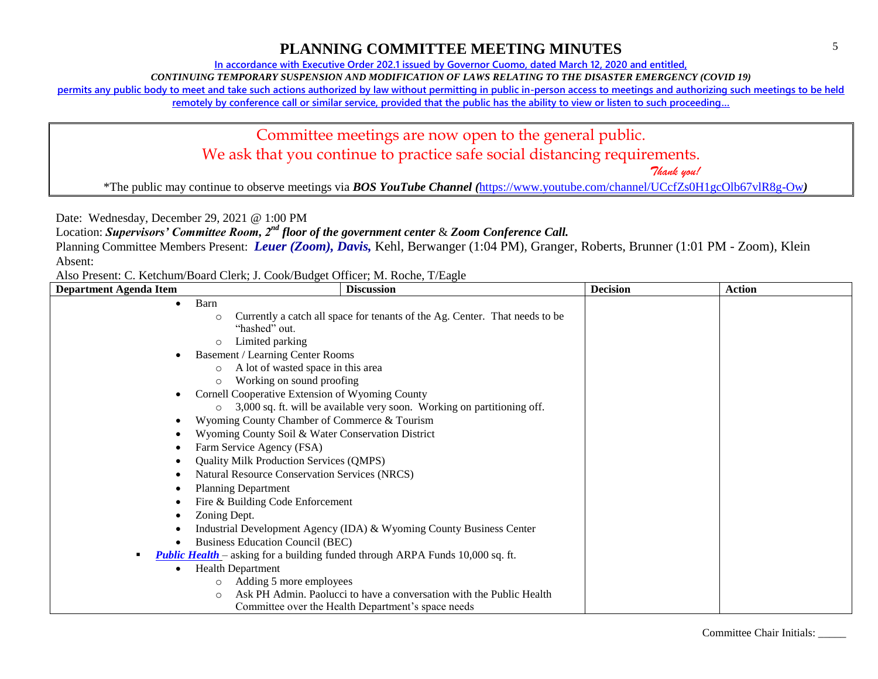### Committee Chair Initials: \_\_\_\_\_

**In accordance with Executive Order 202.1 issued by Governor Cuomo, dated March 12, 2020 and entitled,**

*CONTINUING TEMPORARY SUSPENSION AND MODIFICATION OF LAWS RELATING TO THE DISASTER EMERGENCY (COVID 19)*

**permits any public body to meet and take such actions authorized by law without permitting in public in-person access to meetings and authorizing such meetings to be held** 

**remotely by conference call or similar service, provided that the public has the ability to view or listen to such proceeding…**

### Committee meetings are now open to the general public. We ask that you continue to practice safe social distancing requirements.

 *Thank you!*

\*The public may continue to observe meetings via *BOS YouTube Channel (*<https://www.youtube.com/channel/UCcfZs0H1gcOlb67vlR8g-Ow>*)*

Date: Wednesday, December 29, 2021 @ 1:00 PM

Location: *Supervisors' Committee Room, 2nd floor of the government center* & *Zoom Conference Call.*

Planning Committee Members Present: *Leuer (Zoom), Davis,* Kehl, Berwanger (1:04 PM), Granger, Roberts, Brunner (1:01 PM - Zoom), Klein Absent:

| <b>Department Agenda Item</b> | <b>Discussion</b>                                                                      | <b>Decision</b> | <b>Action</b> |
|-------------------------------|----------------------------------------------------------------------------------------|-----------------|---------------|
| $\bullet$                     | Barn                                                                                   |                 |               |
|                               | Currently a catch all space for tenants of the Ag. Center. That needs to be<br>$\circ$ |                 |               |
|                               | "hashed" out.                                                                          |                 |               |
|                               | Limited parking<br>$\circ$                                                             |                 |               |
|                               | <b>Basement / Learning Center Rooms</b>                                                |                 |               |
|                               | A lot of wasted space in this area<br>$\circ$                                          |                 |               |
|                               | Working on sound proofing<br>$\circ$                                                   |                 |               |
|                               | Cornell Cooperative Extension of Wyoming County                                        |                 |               |
|                               | 3,000 sq. ft. will be available very soon. Working on partitioning off.<br>$\circ$     |                 |               |
|                               | Wyoming County Chamber of Commerce & Tourism                                           |                 |               |
|                               | Wyoming County Soil & Water Conservation District                                      |                 |               |
|                               | Farm Service Agency (FSA)                                                              |                 |               |
|                               | Quality Milk Production Services (QMPS)                                                |                 |               |
|                               | <b>Natural Resource Conservation Services (NRCS)</b>                                   |                 |               |
|                               | <b>Planning Department</b>                                                             |                 |               |
|                               | Fire & Building Code Enforcement                                                       |                 |               |
|                               | Zoning Dept.                                                                           |                 |               |
|                               | Industrial Development Agency (IDA) & Wyoming County Business Center                   |                 |               |
|                               | <b>Business Education Council (BEC)</b>                                                |                 |               |
|                               | <b>Public Health</b> – asking for a building funded through ARPA Funds 10,000 sq. ft.  |                 |               |
|                               | <b>Health Department</b>                                                               |                 |               |
|                               | Adding 5 more employees<br>$\circ$                                                     |                 |               |
|                               | Ask PH Admin. Paolucci to have a conversation with the Public Health<br>$\circ$        |                 |               |
|                               | Committee over the Health Department's space needs                                     |                 |               |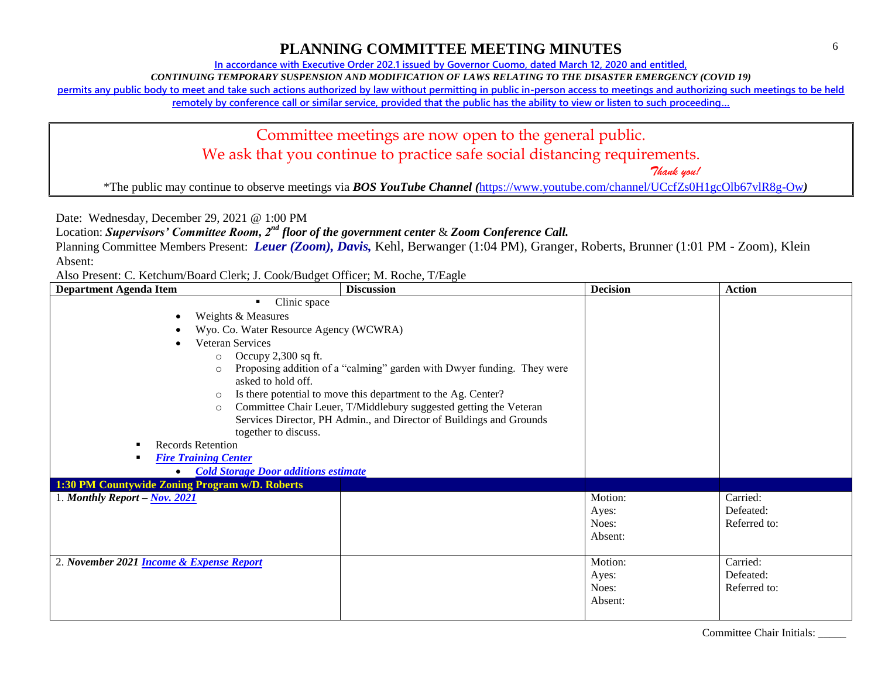**In accordance with Executive Order 202.1 issued by Governor Cuomo, dated March 12, 2020 and entitled,**

*CONTINUING TEMPORARY SUSPENSION AND MODIFICATION OF LAWS RELATING TO THE DISASTER EMERGENCY (COVID 19)*

**permits any public body to meet and take such actions authorized by law without permitting in public in-person access to meetings and authorizing such meetings to be held** 

**remotely by conference call or similar service, provided that the public has the ability to view or listen to such proceeding…**

### Committee meetings are now open to the general public. We ask that you continue to practice safe social distancing requirements.

 *Thank you!*

\*The public may continue to observe meetings via *BOS YouTube Channel (*<https://www.youtube.com/channel/UCcfZs0H1gcOlb67vlR8g-Ow>*)*

Date: Wednesday, December 29, 2021 @ 1:00 PM

Location: *Supervisors' Committee Room, 2nd floor of the government center* & *Zoom Conference Call.*

Planning Committee Members Present: *Leuer (Zoom), Davis,* Kehl, Berwanger (1:04 PM), Granger, Roberts, Brunner (1:01 PM - Zoom), Klein Absent:

Also Present: C. Ketchum/Board Clerk; J. Cook/Budget Officer; M. Roche, T/Eagle

| <b>Department Agenda Item</b>                                                                                                                                                                                                                                                                                                                                                                                                                                                                                                                                                        | <b>Discussion</b>                           | <b>Decision</b>                      | <b>Action</b>                         |  |
|--------------------------------------------------------------------------------------------------------------------------------------------------------------------------------------------------------------------------------------------------------------------------------------------------------------------------------------------------------------------------------------------------------------------------------------------------------------------------------------------------------------------------------------------------------------------------------------|---------------------------------------------|--------------------------------------|---------------------------------------|--|
| Clinic space<br>٠<br>Weights & Measures<br>Wyo. Co. Water Resource Agency (WCWRA)<br>Veteran Services<br>Occupy $2,300$ sq ft.<br>$\circ$<br>Proposing addition of a "calming" garden with Dwyer funding. They were<br>$\circ$<br>asked to hold off.<br>Is there potential to move this department to the Ag. Center?<br>$\circ$<br>Committee Chair Leuer, T/Middlebury suggested getting the Veteran<br>$\circ$<br>Services Director, PH Admin., and Director of Buildings and Grounds<br>together to discuss.<br><b>Records Retention</b><br>٠<br><b>Fire Training Center</b><br>٠ |                                             |                                      |                                       |  |
|                                                                                                                                                                                                                                                                                                                                                                                                                                                                                                                                                                                      | <b>Cold Storage Door additions estimate</b> |                                      |                                       |  |
| 1:30 PM Countywide Zoning Program w/D. Roberts                                                                                                                                                                                                                                                                                                                                                                                                                                                                                                                                       |                                             |                                      |                                       |  |
| 1. Monthly Report $-\underline{Nov. 2021}$                                                                                                                                                                                                                                                                                                                                                                                                                                                                                                                                           |                                             | Motion:<br>Ayes:<br>Noes:<br>Absent: | Carried:<br>Defeated:<br>Referred to: |  |
| 2. November 2021 <b>Income &amp; Expense Report</b>                                                                                                                                                                                                                                                                                                                                                                                                                                                                                                                                  |                                             | Motion:<br>Ayes:<br>Noes:<br>Absent: | Carried:<br>Defeated:<br>Referred to: |  |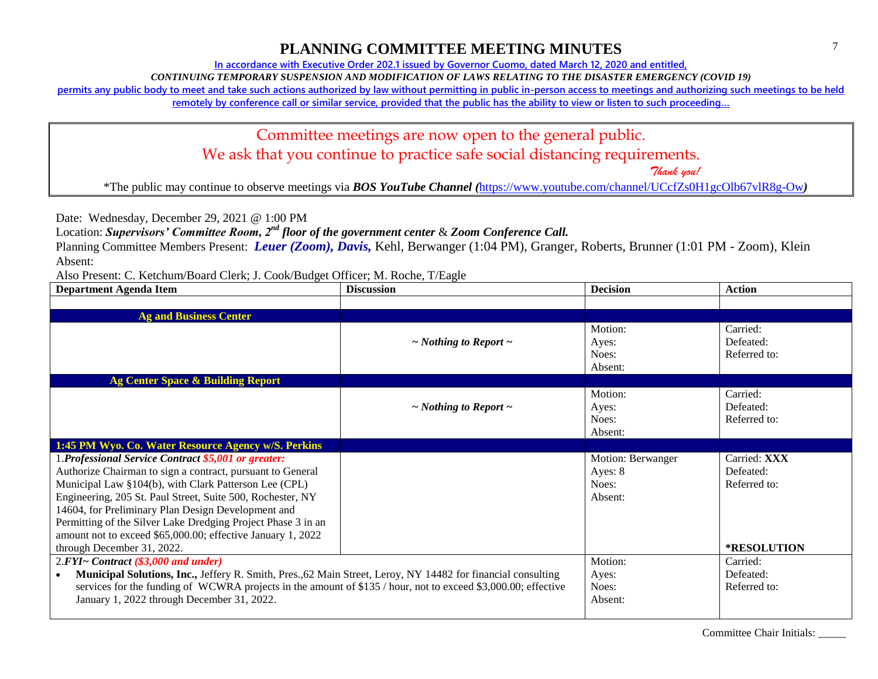**In accordance with Executive Order 202.1 issued by Governor Cuomo, dated March 12, 2020 and entitled,**

*CONTINUING TEMPORARY SUSPENSION AND MODIFICATION OF LAWS RELATING TO THE DISASTER EMERGENCY (COVID 19)*

**permits any public body to meet and take such actions authorized by law without permitting in public in-person access to meetings and authorizing such meetings to be held** 

**remotely by conference call or similar service, provided that the public has the ability to view or listen to such proceeding…**

Committee meetings are now open to the general public. We ask that you continue to practice safe social distancing requirements.

 *Thank you!*

\*The public may continue to observe meetings via *BOS YouTube Channel (*<https://www.youtube.com/channel/UCcfZs0H1gcOlb67vlR8g-Ow>*)*

Date: Wednesday, December 29, 2021 @ 1:00 PM

Location: *Supervisors' Committee Room, 2nd floor of the government center* & *Zoom Conference Call.*

Planning Committee Members Present: *Leuer (Zoom), Davis,* Kehl, Berwanger (1:04 PM), Granger, Roberts, Brunner (1:01 PM - Zoom), Klein Absent:

Also Present: C. Ketchum/Board Clerk; J. Cook/Budget Officer; M. Roche, T/Eagle

| <b>Department Agenda Item</b>                                                                                 | <b>Discussion</b>               | <b>Decision</b>   | <b>Action</b> |
|---------------------------------------------------------------------------------------------------------------|---------------------------------|-------------------|---------------|
|                                                                                                               |                                 |                   |               |
| <b>Ag and Business Center</b>                                                                                 |                                 |                   |               |
|                                                                                                               |                                 | Motion:           | Carried:      |
|                                                                                                               | $\sim$ Nothing to Report $\sim$ | Ayes:             | Defeated:     |
|                                                                                                               |                                 | Noes:             | Referred to:  |
|                                                                                                               |                                 | Absent:           |               |
| <b>Ag Center Space &amp; Building Report</b>                                                                  |                                 |                   |               |
|                                                                                                               |                                 | Motion:           | Carried:      |
|                                                                                                               | $\sim$ Nothing to Report $\sim$ | Ayes:             | Defeated:     |
|                                                                                                               |                                 | Noes:             | Referred to:  |
|                                                                                                               |                                 | Absent:           |               |
| 1:45 PM Wyo. Co. Water Resource Agency w/S. Perkins                                                           |                                 |                   |               |
|                                                                                                               |                                 |                   | Carried: XXX  |
| 1. Professional Service Contract \$5,001 or greater:                                                          |                                 | Motion: Berwanger |               |
| Authorize Chairman to sign a contract, pursuant to General                                                    |                                 | Ayes: $8$         | Defeated:     |
| Municipal Law §104(b), with Clark Patterson Lee (CPL)                                                         |                                 | Noes:             | Referred to:  |
| Engineering, 205 St. Paul Street, Suite 500, Rochester, NY                                                    |                                 | Absent:           |               |
| 14604, for Preliminary Plan Design Development and                                                            |                                 |                   |               |
| Permitting of the Silver Lake Dredging Project Phase 3 in an                                                  |                                 |                   |               |
| amount not to exceed \$65,000.00; effective January 1, 2022                                                   |                                 |                   |               |
| through December 31, 2022.                                                                                    |                                 |                   | *RESOLUTION   |
| 2.FYI~ Contract (\$3,000 and under)                                                                           |                                 | Motion:           | Carried:      |
| Municipal Solutions, Inc., Jeffery R. Smith, Pres., 62 Main Street, Leroy, NY 14482 for financial consulting  |                                 | Ayes:             | Defeated:     |
| services for the funding of WCWRA projects in the amount of \$135 / hour, not to exceed \$3,000.00; effective |                                 | Noes:             | Referred to:  |
| January 1, 2022 through December 31, 2022.                                                                    |                                 | Absent:           |               |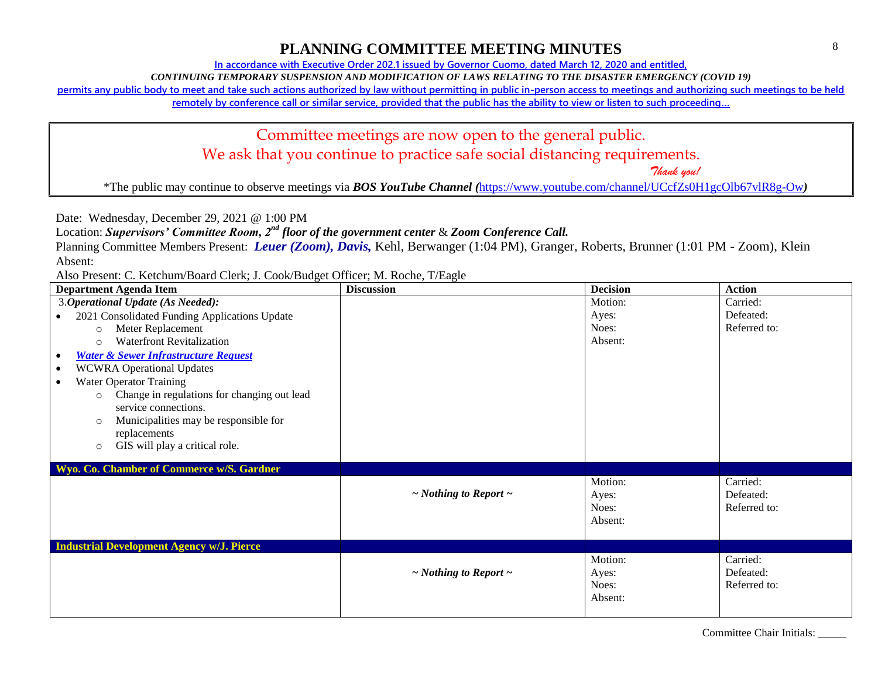**In accordance with Executive Order 202.1 issued by Governor Cuomo, dated March 12, 2020 and entitled,**

*CONTINUING TEMPORARY SUSPENSION AND MODIFICATION OF LAWS RELATING TO THE DISASTER EMERGENCY (COVID 19)*

**permits any public body to meet and take such actions authorized by law without permitting in public in-person access to meetings and authorizing such meetings to be held** 

**remotely by conference call or similar service, provided that the public has the ability to view or listen to such proceeding…**

# Committee meetings are now open to the general public. We ask that you continue to practice safe social distancing requirements.

 *Thank you!*

\*The public may continue to observe meetings via *BOS YouTube Channel (*<https://www.youtube.com/channel/UCcfZs0H1gcOlb67vlR8g-Ow>*)*

Date: Wednesday, December 29, 2021 @ 1:00 PM

Location: *Supervisors' Committee Room, 2nd floor of the government center* & *Zoom Conference Call.*

Planning Committee Members Present: *Leuer (Zoom), Davis,* Kehl, Berwanger (1:04 PM), Granger, Roberts, Brunner (1:01 PM - Zoom), Klein Absent:

Also Present: C. Ketchum/Board Clerk; J. Cook/Budget Officer; M. Roche, T/Eagle

| <b>Department Agenda Item</b>                                | <b>Discussion</b>               | <b>Decision</b> | <b>Action</b> |
|--------------------------------------------------------------|---------------------------------|-----------------|---------------|
| 3. Operational Update (As Needed):                           |                                 | Motion:         | Carried:      |
| 2021 Consolidated Funding Applications Update<br>$\bullet$   |                                 | Ayes:           | Defeated:     |
| Meter Replacement<br>$\circ$                                 |                                 | Noes:           | Referred to:  |
| <b>Waterfront Revitalization</b><br>$\circ$                  |                                 | Absent:         |               |
| <b>Water &amp; Sewer Infrastructure Request</b><br>$\bullet$ |                                 |                 |               |
| <b>WCWRA Operational Updates</b><br>$\bullet$                |                                 |                 |               |
| <b>Water Operator Training</b><br>$\bullet$                  |                                 |                 |               |
| Change in regulations for changing out lead<br>$\circ$       |                                 |                 |               |
| service connections.                                         |                                 |                 |               |
| Municipalities may be responsible for<br>$\circ$             |                                 |                 |               |
| replacements                                                 |                                 |                 |               |
| GIS will play a critical role.<br>$\circ$                    |                                 |                 |               |
|                                                              |                                 |                 |               |
| Wyo. Co. Chamber of Commerce w/S. Gardner                    |                                 |                 |               |
|                                                              |                                 | Motion:         | Carried:      |
|                                                              | $\sim$ Nothing to Report $\sim$ | Ayes:           | Defeated:     |
|                                                              |                                 | Noes:           | Referred to:  |
|                                                              |                                 | Absent:         |               |
|                                                              |                                 |                 |               |
| <b>Industrial Development Agency w/J. Pierce</b>             |                                 |                 |               |
|                                                              |                                 | Motion:         | Carried:      |
|                                                              | $\sim$ Nothing to Report $\sim$ | Ayes:           | Defeated:     |
|                                                              |                                 | Noes:           | Referred to:  |
|                                                              |                                 | Absent:         |               |
|                                                              |                                 |                 |               |